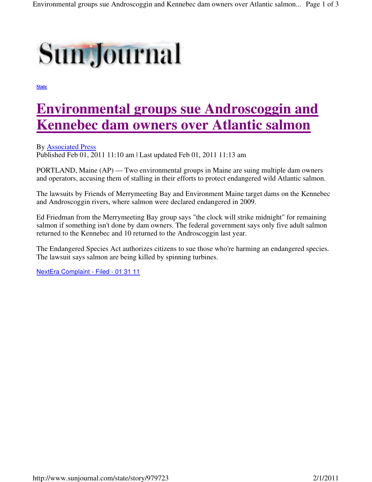

**State**

## **Environmental groups sue Androscoggin and Kennebec dam owners over Atlantic salmon**

By Associated Press Published Feb 01, 2011 11:10 am | Last updated Feb 01, 2011 11:13 am

PORTLAND, Maine (AP) — Two environmental groups in Maine are suing multiple dam owners and operators, accusing them of stalling in their efforts to protect endangered wild Atlantic salmon.

The lawsuits by Friends of Merrymeeting Bay and Environment Maine target dams on the Kennebec and Androscoggin rivers, where salmon were declared endangered in 2009.

Ed Friedman from the Merrymeeting Bay group says "the clock will strike midnight" for remaining salmon if something isn't done by dam owners. The federal government says only five adult salmon returned to the Kennebec and 10 returned to the Androscoggin last year.

The Endangered Species Act authorizes citizens to sue those who're harming an endangered species. The lawsuit says salmon are being killed by spinning turbines.

NextEra Complaint - Filed - 01 31 11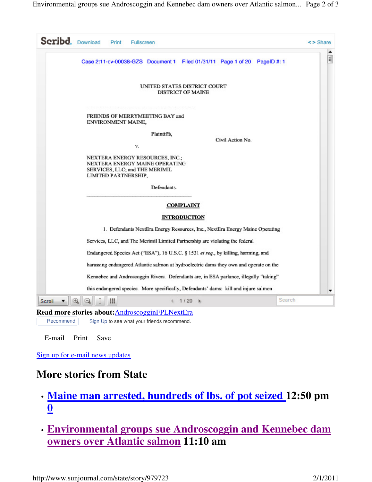| <b>Scribd.</b> Download<br>Print<br><b>Fullscreen</b>                                                                       | $\leq$ > Share |
|-----------------------------------------------------------------------------------------------------------------------------|----------------|
| Case 2:11-cv-00038-GZS Document 1<br>Filed 01/31/11 Page 1 of 20 PageID #: 1                                                | E              |
| UNITED STATES DISTRICT COURT<br><b>DISTRICT OF MAINE</b>                                                                    |                |
| FRIENDS OF MERRYMEETING BAY and<br>ENVIRONMENT MAINE,                                                                       |                |
| Plaintiffs,<br>Civil Action No.<br>٧.                                                                                       |                |
| NEXTERA ENERGY RESOURCES, INC.;<br>NEXTERA ENERGY MAINE OPERATING<br>SERVICES, LLC; and THE MERIMIL<br>LIMITED PARTNERSHIP, |                |
| Defendants.                                                                                                                 |                |
| <b>COMPLAINT</b>                                                                                                            |                |
| <b>INTRODUCTION</b>                                                                                                         |                |
| 1. Defendants NextEra Energy Resources, Inc., NextEra Energy Maine Operating                                                |                |
| Services, LLC, and The Merimil Limited Partnership are violating the federal                                                |                |
| Endangered Species Act ("ESA"), 16 U.S.C. § 1531 et seq., by killing, harming, and                                          |                |
| harassing endangered Atlantic salmon at hydroelectric dams they own and operate on the                                      |                |
| Kennebec and Androscoggin Rivers. Defendants are, in ESA parlance, illegally "taking"                                       |                |
| this endangered species. More specifically, Defendants' dams: kill and injure salmon                                        |                |
| Search<br>噩<br>$1/20$ $\rightarrow$<br>Scroll                                                                               |                |
| <b>Read more stories about:</b> AndroscogginFPLNextEra                                                                      |                |

Recommend Sign Up to see what your friends recommend.

E-mail Print Save

Sign up for e-mail news updates

## **More stories from State**

- **Maine man arrested, hundreds of lbs. of pot seized 12:50 pm 0**
- **Environmental groups sue Androscoggin and Kennebec dam owners over Atlantic salmon 11:10 am**